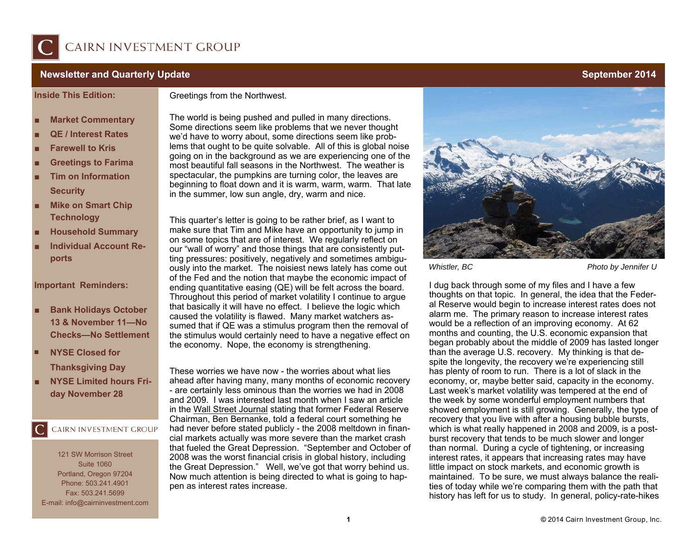

## **Newsletter and Quarterly Update September 2014**

**Inside This Edition:** 

#### Greetings from the Northwest.

- **Market Commentary**
- **QE / Interest Rates**
- **Farewell to Kris**
- **Greetings to Farima**
- Tim on Information  **Security**
- Mike on Smart Chip **Technology**
- **Household Summary**
- **Individual Account Reports**

## **Important Reminders:**

- **Bank Holidays October 13 & November 11—No Checks—No Settlement**
- **NYSE Closed for Thanksgiving Day**
- **NYSE Limited hours Friday November 28**

# CAIRN INVESTMENT GROUP

121 SW Morrison Street Suite 1060 Portland, Oregon 97204 Phone: 503.241.4901 Fax: 503.241.5699 E-mail: info@cairninvestment.com The world is being pushed and pulled in many directions. Some directions seem like problems that we never thought we'd have to worry about, some directions seem like problems that ought to be quite solvable. All of this is global noise going on in the background as we are experiencing one of the most beautiful fall seasons in the Northwest. The weather is spectacular, the pumpkins are turning color, the leaves are beginning to float down and it is warm, warm, warm. That late in the summer, low sun angle, dry, warm and nice.

This quarter's letter is going to be rather brief, as I want to make sure that Tim and Mike have an opportunity to jump in on some topics that are of interest. We regularly reflect on our "wall of worry" and those things that are consistently putting pressures: positively, negatively and sometimes ambiguously into the market. The noisiest news lately has come out of the Fed and the notion that maybe the economic impact of ending quantitative easing (QE) will be felt across the board. Throughout this period of market volatility I continue to argue that basically it will have no effect. I believe the logic which caused the volatility is flawed. Many market watchers assumed that if QE was a stimulus program then the removal of the stimulus would certainly need to have a negative effect on the economy. Nope, the economy is strengthening.

These worries we have now - the worries about what lies ahead after having many, many months of economic recovery - are certainly less ominous than the worries we had in 2008 and 2009. I was interested last month when I saw an article in the Wall Street Journal stating that former Federal Reserve Chairman, Ben Bernanke, told a federal court something he had never before stated publicly - the 2008 meltdown in financial markets actually was more severe than the market crash that fueled the Great Depression. "September and October of 2008 was the worst financial crisis in global history, including the Great Depression." Well, we've got that worry behind us. Now much attention is being directed to what is going to happen as interest rates increase.



### *Whistler, BC* Photo by Jennifer U

I dug back through some of my files and I have a few thoughts on that topic. In general, the idea that the Federal Reserve would begin to increase interest rates does not alarm me. The primary reason to increase interest rates would be a reflection of an improving economy. At 62 months and counting, the U.S. economic expansion that began probably about the middle of 2009 has lasted longer than the average U.S. recovery. My thinking is that despite the longevity, the recovery we're experiencing still has plenty of room to run. There is a lot of slack in the economy, or, maybe better said, capacity in the economy. Last week's market volatility was tempered at the end of the week by some wonderful employment numbers that showed employment is still growing. Generally, the type of recovery that you live with after a housing bubble bursts, which is what really happened in 2008 and 2009, is a postburst recovery that tends to be much slower and longer than normal. During a cycle of tightening, or increasing interest rates, it appears that increasing rates may have little impact on stock markets, and economic growth is maintained. To be sure, we must always balance the realities of today while we're comparing them with the path that history has left for us to study. In general, policy-rate-hikes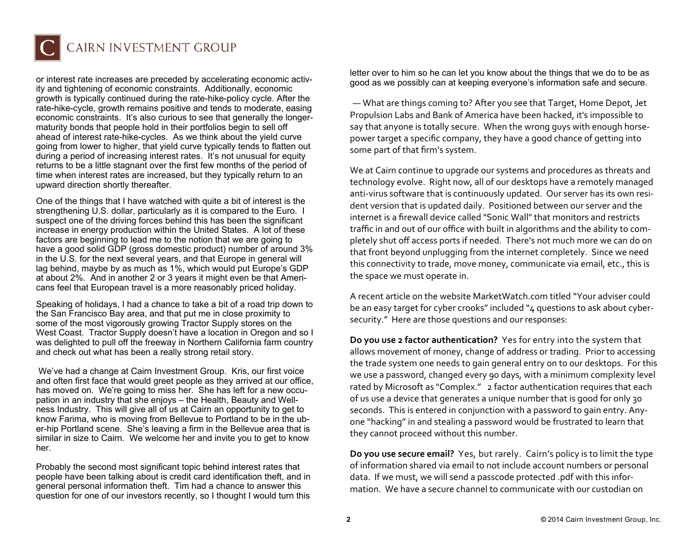

or interest rate increases are preceded by accelerating economic activity and tightening of economic constraints. Additionally, economic growth is typically continued during the rate-hike-policy cycle. After the rate-hike-cycle, growth remains positive and tends to moderate, easing economic constraints. It's also curious to see that generally the longermaturity bonds that people hold in their portfolios begin to sell off ahead of interest rate-hike-cycles. As we think about the yield curve going from lower to higher, that yield curve typically tends to flatten out during a period of increasing interest rates. It's not unusual for equity returns to be a little stagnant over the first few months of the period of time when interest rates are increased, but they typically return to an upward direction shortly thereafter.

One of the things that I have watched with quite a bit of interest is the strengthening U.S. dollar, particularly as it is compared to the Euro. I suspect one of the driving forces behind this has been the significant increase in energy production within the United States. A lot of these factors are beginning to lead me to the notion that we are going to have a good solid GDP (gross domestic product) number of around 3% in the U.S. for the next several years, and that Europe in general will lag behind, maybe by as much as 1%, which would put Europe's GDP at about 2%. And in another 2 or 3 years it might even be that Americans feel that European travel is a more reasonably priced holiday.

Speaking of holidays, I had a chance to take a bit of a road trip down to the San Francisco Bay area, and that put me in close proximity to some of the most vigorously growing Tractor Supply stores on the West Coast. Tractor Supply doesn't have a location in Oregon and so I was delighted to pull off the freeway in Northern California farm country and check out what has been a really strong retail story.

 We've had a change at Cairn Investment Group. Kris, our first voice and often first face that would greet people as they arrived at our office, has moved on. We're going to miss her. She has left for a new occupation in an industry that she enjoys – the Health, Beauty and Wellness Industry. This will give all of us at Cairn an opportunity to get to know Farima, who is moving from Bellevue to Portland to be in the uber-hip Portland scene. She's leaving a firm in the Bellevue area that is similar in size to Cairn. We welcome her and invite you to get to know her.

Probably the second most significant topic behind interest rates that people have been talking about is credit card identification theft, and in general personal information theft. Tim had a chance to answer this question for one of our investors recently, so I thought I would turn this

letter over to him so he can let you know about the things that we do to be as good as we possibly can at keeping everyone's information safe and secure.

— What are things coming to? After you see that Target, Home Depot, Jet Propulsion Labs and Bank of America have been hacked, it's impossible to say that anyone is totally secure. When the wrong guys with enough horse‐ power target a speci fic company, they have a good chance of getting into some part of that firm's system.

We at Cairn continue to upgrade our systems and procedures as threats and technology evolve. Right now, all of our desktops have a remotely managed anti-virus software that is continuously updated. Our server has its own resident version that is updated daily. Positioned between our server and the internet is a firewall device called "Sonic Wall" that monitors and restricts traffic in and out of our office with built in algorithms and the ability to completely shut o ff access ports if needed. There's not much more we can do on that front beyond unplugging from the internet completely. Since we need this connectivity to trade, move money, communicate via email, etc., this is the space we must operate in.

A recent article on the website MarketWatch.com titled "Your adviser could be an easy target for cyber crooks" included "4 questions to ask about cybersecurity." Here are those questions and our responses:

**Do you use 2 factor authentication?** Yes for entry into the system that allows movement of money, change of address or trading. Prior to accessing the trade system one needs to gain general entry on to our desktops. For this we use a password, changed every 90 days, with a minimum complexity level rated by Microsoft as "Complex." 2 factor authentication requires that each of us use a device that generates a unique number that is good for only 30 seconds. This is entered in conjunction with a password to gain entry. Any‐ one "hacking" in and stealing a password would be frustrated to learn that they cannot proceed without this number.

**Do you use secure email?** Yes, but rarely. Cairn's policy is to limit the type of information shared via email to not include account numbers or personal data. If we must, we will send a passcode protected .pdf with this infor‐ mation. We have a secure channel to communicate with our custodian on